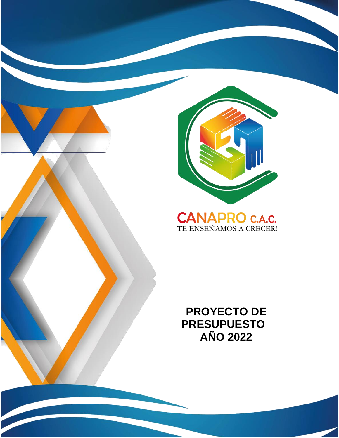

## **CANAPRO C.A.C.**<br>TE ENSEÑAMOS A CRECERI

 **PROYECTO DE PRESUPUESTO AÑO 2022**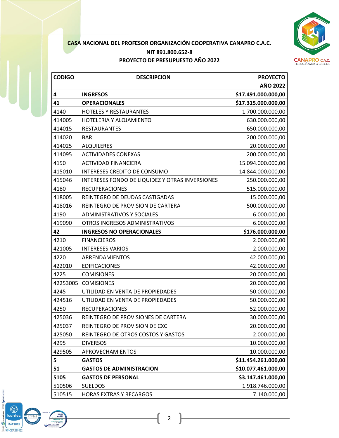

## **CASA NACIONAL DEL PROFESOR ORGANIZACIÓN COOPERATIVA CANAPRO C.A.C. NIT 891.800.652-8 PROYECTO DE PRESUPUESTO AÑO 2022**

| <b>CODIGO</b> | <b>DESCRIPCION</b>                              | <b>PROYECTO</b>     |
|---------------|-------------------------------------------------|---------------------|
|               |                                                 | <b>AÑO 2022</b>     |
| 4             | <b>INGRESOS</b>                                 | \$17.491.000.000,00 |
| 41            | <b>OPERACIONALES</b>                            | \$17.315.000.000,00 |
| 4140          | <b>HOTELES Y RESTAURANTES</b>                   | 1.700.000.000,00    |
| 414005        | HOTELERIA Y ALOJAMIENTO                         | 630.000.000,00      |
| 414015        | <b>RESTAURANTES</b>                             | 650.000.000,00      |
| 414020        | <b>BAR</b>                                      | 200.000.000,00      |
| 414025        | <b>ALQUILERES</b>                               | 20.000.000,00       |
| 414095        | <b>ACTIVIDADES CONEXAS</b>                      | 200.000.000,00      |
| 4150          | <b>ACTIVIDAD FINANCIERA</b>                     | 15.094.000.000,00   |
| 415010        | INTERESES CREDITO DE CONSUMO                    | 14.844.000.000,00   |
| 415046        | INTERESES FONDO DE LIQUIDEZ Y OTRAS INVERSIONES | 250.000.000,00      |
| 4180          | <b>RECUPERACIONES</b>                           | 515.000.000,00      |
| 418005        | REINTEGRO DE DEUDAS CASTIGADAS                  | 15.000.000,00       |
| 418016        | REINTEGRO DE PROVISION DE CARTERA               | 500.000.000,00      |
| 4190          | <b>ADMINISTRATIVOS Y SOCIALES</b>               | 6.000.000,00        |
| 419090        | OTROS INGRESOS ADMINISTRATIVOS                  | 6.000.000,00        |
| 42            | <b>INGRESOS NO OPERACIONALES</b>                | \$176.000.000,00    |
| 4210          | <b>FINANCIEROS</b>                              | 2.000.000,00        |
| 421005        | <b>INTERESES VARIOS</b>                         | 2.000.000,00        |
| 4220          | ARRENDAMIENTOS                                  | 42.000.000,00       |
| 422010        | <b>EDIFICACIONES</b>                            | 42.000.000,00       |
| 4225          | <b>COMISIONES</b>                               | 20.000.000,00       |
| 42253005      | <b>COMISIONES</b>                               | 20.000.000,00       |
| 4245          | UTILIDAD EN VENTA DE PROPIEDADES                | 50.000.000,00       |
| 424516        | UTILIDAD EN VENTA DE PROPIEDADES                | 50.000.000,00       |
| 4250          | <b>RECUPERACIONES</b>                           | 52.000.000,00       |
| 425036        | REINTEGRO DE PROVISIONES DE CARTERA             | 30.000.000,00       |
| 425037        | REINTEGRO DE PROVISION DE CXC                   | 20.000.000,00       |
| 425050        | REINTEGRO DE OTROS COSTOS Y GASTOS              | 2.000.000,00        |
| 4295          | <b>DIVERSOS</b>                                 | 10.000.000,00       |
| 429505        | APROVECHAMIENTOS                                | 10.000.000,00       |
| 5             | <b>GASTOS</b>                                   | \$11.454.261.000,00 |
| 51            | <b>GASTOS DE ADMINISTRACION</b>                 | \$10.077.461.000,00 |
| 5105          | <b>GASTOS DE PERSONAL</b>                       | \$3.147.461.000,00  |
| 510506        | <b>SUELDOS</b>                                  | 1.918.746.000,00    |
| 510515        | <b>HORAS EXTRAS Y RECARGOS</b>                  | 7.140.000,00        |

(@) iconted **ISO 9001** SC-CER220832

ŝ  $\mathbf{Q}$  for

Ó

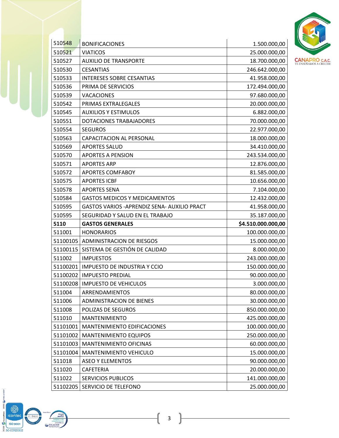

| 510548   | <b>BONIFICACIONES</b>                        | 1.500.000,00       |
|----------|----------------------------------------------|--------------------|
| 510521   | <b>VIATICOS</b>                              | 25.000.000,00      |
| 510527   | <b>AUXILIO DE TRANSPORTE</b>                 | 18.700.000,00      |
| 510530   | <b>CESANTIAS</b>                             | 246.642.000,00     |
| 510533   | <b>INTERESES SOBRE CESANTIAS</b>             | 41.958.000,00      |
| 510536   | PRIMA DE SERVICIOS                           | 172.494.000,00     |
| 510539   | <b>VACACIONES</b>                            | 97.680.000,00      |
| 510542   | PRIMAS EXTRALEGALES                          | 20.000.000,00      |
| 510545   | <b>AUXILIOS Y ESTIMULOS</b>                  | 6.882.000,00       |
| 510551   | DOTACIONES TRABAJADORES                      | 70.000.000,00      |
| 510554   | <b>SEGUROS</b>                               | 22.977.000,00      |
| 510563   | CAPACITACION AL PERSONAL                     | 18.000.000,00      |
| 510569   | <b>APORTES SALUD</b>                         | 34.410.000,00      |
| 510570   | <b>APORTES A PENSION</b>                     | 243.534.000,00     |
| 510571   | <b>APORTES ARP</b>                           | 12.876.000,00      |
| 510572   | <b>APORTES COMFABOY</b>                      | 81.585.000,00      |
| 510575   | <b>APORTES ICBF</b>                          | 10.656.000,00      |
| 510578   | <b>APORTES SENA</b>                          | 7.104.000,00       |
| 510584   | <b>GASTOS MEDICOS Y MEDICAMENTOS</b>         | 12.432.000,00      |
| 510595   | GASTOS VARIOS - APRENDIZ SENA- AUXILIO PRACT | 41.958.000,00      |
|          |                                              |                    |
| 510595   | SEGURIDAD Y SALUD EN EL TRABAJO              | 35.187.000,00      |
| 5110     | <b>GASTOS GENERALES</b>                      | \$4.510.000.000,00 |
| 511001   | <b>HONORARIOS</b>                            | 100.000.000,00     |
| 51100105 | <b>ADMINISTRACION DE RIESGOS</b>             | 15.000.000,00      |
| 51100115 | SISTEMA DE GESTIÓN DE CALIDAD                | 8.000.000,00       |
| 511002   | <b>IMPUESTOS</b>                             | 243.000.000,00     |
| 51100201 | <b>IMPUESTO DE INDUSTRIA Y CCIO</b>          | 150.000.000,00     |
| 51100202 | <b>IMPUESTO PREDIAL</b>                      | 90.000.000,00      |
|          | 51100208   IMPUESTO DE VEHICULOS             | 3.000.000,00       |
| 511004   | ARRENDAMIENTOS                               | 80.000.000,00      |
| 511006   | <b>ADMINISTRACION DE BIENES</b>              | 30.000.000,00      |
| 511008   | POLIZAS DE SEGUROS                           | 850.000.000,00     |
| 511010   | <b>MANTENIMIENTO</b>                         | 425.000.000,00     |
| 51101001 | MANTENIMIENTO EDIFICACIONES                  | 100.000.000,00     |
| 51101002 | <b>MANTENIMIENTO EQUIPOS</b>                 | 250.000.000,00     |
| 51101003 | MANTENIMIENTO OFICINAS                       | 60.000.000,00      |
| 51101004 | MANTENIMIENTO VEHICULO                       | 15.000.000,00      |
| 511018   | <b>ASEO Y ELEMENTOS</b>                      | 90.000.000,00      |
| 511020   | CAFETERIA                                    | 20.000.000,00      |
| 511022   | <b>SERVICIOS PUBLICOS</b>                    | 141.000.000,00     |



coop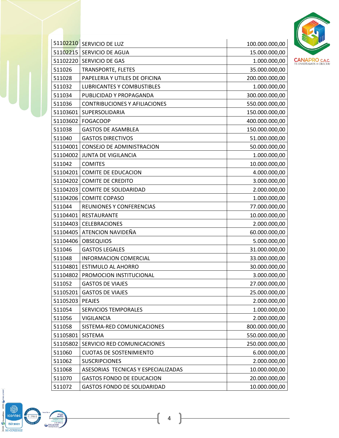

|          | 51102210 SERVICIO DE LUZ             | 100.000.000,00 |
|----------|--------------------------------------|----------------|
| 51102215 | SERVICIO DE AGUA                     | 15.000.000,00  |
| 51102220 | SERVICIO DE GAS                      | 1.000.000,00   |
| 511026   | <b>TRANSPORTE, FLETES</b>            | 35.000.000,00  |
| 511028   | PAPELERIA Y UTILES DE OFICINA        | 200.000.000,00 |
| 511032   | <b>LUBRICANTES Y COMBUSTIBLES</b>    | 1.000.000,00   |
| 511034   | PUBLICIDAD Y PROPAGANDA              | 300.000.000,00 |
| 511036   | <b>CONTRIBUCIONES Y AFILIACIONES</b> | 550.000.000,00 |
| 51103601 | SUPERSOLIDARIA                       | 150.000.000,00 |
| 51103602 | FOGACOOP                             | 400.000.000,00 |
| 511038   | <b>GASTOS DE ASAMBLEA</b>            | 150.000.000,00 |
| 511040   | <b>GASTOS DIRECTIVOS</b>             | 51.000.000,00  |
| 51104001 | CONSEJO DE ADMINISTRACION            | 50.000.000,00  |
| 51104002 | JUNTA DE VIGILANCIA                  | 1.000.000,00   |
| 511042   | <b>COMITES</b>                       | 10.000.000,00  |
| 51104201 | <b>COMITE DE EDUCACION</b>           | 4.000.000,00   |
| 51104202 | <b>COMITE DE CREDITO</b>             | 3.000.000,00   |
| 51104203 | <b>COMITE DE SOLIDARIDAD</b>         | 2.000.000,00   |
| 51104206 | <b>COMITE COPASO</b>                 | 1.000.000,00   |
| 511044   | REUNIONES Y CONFERENCIAS             | 77.000.000,00  |
| 51104401 | RESTAURANTE                          | 10.000.000,00  |
|          | 51104403 CELEBRACIONES               | 2.000.000,00   |
| 51104405 | ATENCION NAVIDEÑA                    | 60.000.000,00  |
| 51104406 | <b>OBSEQUIOS</b>                     | 5.000.000,00   |
| 511046   | <b>GASTOS LEGALES</b>                | 31.000.000,00  |
| 511048   | <b>INFORMACION COMERCIAL</b>         | 33.000.000,00  |
| 51104801 | <b>ESTIMULO AL AHORRO</b>            | 30.000.000,00  |
| 51104802 | PROMOCION INSTITUCIONAL              | 3.000.000,00   |
| 511052   | <b>GASTOS DE VIAJES</b>              | 27.000.000,00  |
| 51105201 | <b>GASTOS DE VIAJES</b>              | 25.000.000,00  |
| 51105203 | <b>PEAJES</b>                        | 2.000.000,00   |
| 511054   | SERVICIOS TEMPORALES                 | 1.000.000,00   |
| 511056   | <b>VIGILANCIA</b>                    | 2.000.000,00   |
| 511058   | SISTEMA-RED COMUNICACIONES           | 800.000.000,00 |
| 51105801 | <b>SISTEMA</b>                       | 550.000.000,00 |
| 51105802 | SERVICIO RED COMUNICACIONES          | 250.000.000,00 |
| 511060   | <b>CUOTAS DE SOSTENIMIENTO</b>       | 6.000.000,00   |
| 511062   | <b>SUSCRIPCIONES</b>                 | 2.000.000,00   |
| 511068   | ASESORIAS TECNICAS Y ESPECIALIZADAS  | 10.000.000,00  |
| 511070   | <b>GASTOS FONDO DE EDUCACION</b>     | 20.000.000,00  |
| 511072   | <b>GASTOS FONDO DE SOLIDARIDAD</b>   | 10.000.000,00  |

 $\underline{\text{mean}} \bigcirc \text{FOGACOOP}$ 

(icontec COV<br>CONTECTS CONTECTS SC-CER220832

**TONE** 

Inscrita a:<br>
MORRO<br>
PERSIA DE STATE ANORRO<br>
STATE AND PERSIAN<br>
STATE OF PERSIANCE PRODUCTION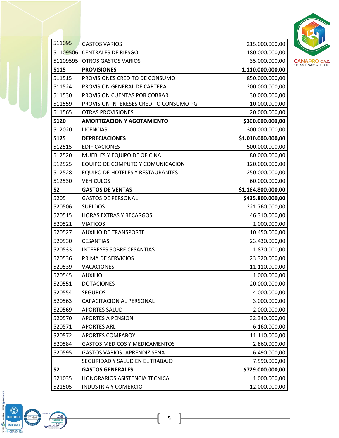

| 511095   | <b>GASTOS VARIOS</b>                   | 215.000.000,00     |
|----------|----------------------------------------|--------------------|
| 51109506 | <b>CENTRALES DE RIESGO</b>             | 180.000.000,00     |
| 51109595 | <b>OTROS GASTOS VARIOS</b>             | 35.000.000,00      |
| 5115     | <b>PROVISIONES</b>                     | 1.110.000.000,00   |
| 511515   | PROVISIONES CREDITO DE CONSUMO         | 850.000.000,00     |
| 511524   | PROVISION GENERAL DE CARTERA           | 200.000.000,00     |
| 511530   | PROVISION CUENTAS POR COBRAR           | 30.000.000,00      |
| 511559   | PROVISION INTERESES CREDITO CONSUMO PG | 10.000.000,00      |
| 511565   | <b>OTRAS PROVISIONES</b>               | 20.000.000,00      |
| 5120     | <b>AMORTIZACION Y AGOTAMIENTO</b>      | \$300.000.000,00   |
| 512020   | <b>LICENCIAS</b>                       | 300.000.000,00     |
| 5125     | <b>DEPRECIACIONES</b>                  | \$1.010.000.000,00 |
| 512515   | <b>EDIFICACIONES</b>                   | 500.000.000,00     |
| 512520   | MUEBLES Y EQUIPO DE OFICINA            | 80.000.000,00      |
| 512525   | EQUIPO DE COMPUTO Y COMUNICACIÓN       | 120.000.000,00     |
| 512528   | EQUIPO DE HOTELES Y RESTAURANTES       | 250.000.000,00     |
| 512530   | <b>VEHICULOS</b>                       | 60.000.000,00      |
| 52       | <b>GASTOS DE VENTAS</b>                | \$1.164.800.000,00 |
| 5205     | <b>GASTOS DE PERSONAL</b>              | \$435.800.000,00   |
| 520506   | <b>SUELDOS</b>                         | 221.760.000,00     |
| 520515   | <b>HORAS EXTRAS Y RECARGOS</b>         | 46.310.000,00      |
| 520521   | <b>VIATICOS</b>                        | 1.000.000,00       |
| 520527   | <b>AUXILIO DE TRANSPORTE</b>           | 10.450.000,00      |
| 520530   | <b>CESANTIAS</b>                       | 23.430.000,00      |
| 520533   | <b>INTERESES SOBRE CESANTIAS</b>       | 1.870.000,00       |
| 520536   | PRIMA DE SERVICIOS                     | 23.320.000,00      |
| 520539   | <b>VACACIONES</b>                      | 11.110.000,00      |
| 520545   | <b>AUXILIO</b>                         | 1.000.000,00       |
| 520551   | <b>DOTACIONES</b>                      | 20.000.000,00      |
| 520554   | <b>SEGUROS</b>                         | 4.000.000,00       |
| 520563   | CAPACITACION AL PERSONAL               | 3.000.000,00       |
| 520569   | <b>APORTES SALUD</b>                   | 2.000.000,00       |
| 520570   | <b>APORTES A PENSION</b>               | 32.340.000,00      |
| 520571   | <b>APORTES ARL</b>                     | 6.160.000,00       |
| 520572   | <b>APORTES COMFABOY</b>                | 11.110.000,00      |
| 520584   | <b>GASTOS MEDICOS Y MEDICAMENTOS</b>   | 2.860.000,00       |
| 520595   | <b>GASTOS VARIOS- APRENDIZ SENA</b>    | 6.490.000,00       |
|          | SEGURIDAD Y SALUD EN EL TRABAJO        | 7.590.000,00       |
| 52       | <b>GASTOS GENERALES</b>                | \$729.000.000,00   |
| 521035   | HONORARIOS ASISTENCIA TECNICA          | 1.000.000,00       |
| 521505   | <b>INDUSTRIA Y COMERCIO</b>            | 12.000.000,00      |

CONCORRECTED ISO 9001  $\mathbb{Q}$ Ne **EOGACOOP** 

 $\rfloor$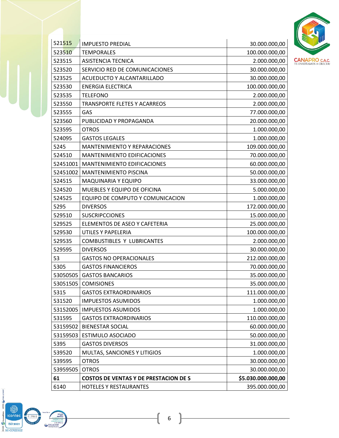

| 521515   | <b>IMPUESTO PREDIAL</b>                      | 30.000.000,00      |
|----------|----------------------------------------------|--------------------|
| 523510   | <b>TEMPORALES</b>                            | 100.000.000,00     |
| 523515   | <b>ASISTENCIA TECNICA</b>                    | 2.000.000,00       |
| 523520   | SERVICIO RED DE COMUNICACIONES               | 30.000.000,00      |
| 523525   | ACUEDUCTO Y ALCANTARILLADO                   | 30.000.000,00      |
| 523530   | <b>ENERGIA ELECTRICA</b>                     | 100.000.000,00     |
| 523535   | <b>TELEFONO</b>                              | 2.000.000,00       |
| 523550   | <b>TRANSPORTE FLETES Y ACARREOS</b>          | 2.000.000,00       |
| 523555   | GAS                                          | 77.000.000,00      |
| 523560   | PUBLICIDAD Y PROPAGANDA                      | 20.000.000,00      |
| 523595   | <b>OTROS</b>                                 | 1.000.000,00       |
| 524095   | <b>GASTOS LEGALES</b>                        | 1.000.000,00       |
| 5245     | <b>MANTENIMIENTO Y REPARACIONES</b>          | 109.000.000,00     |
| 524510   | MANTENIMIENTO EDIFICACIONES                  | 70.000.000,00      |
| 52451001 | MANTENIMIENTO EDIFICACIONES                  | 60.000.000,00      |
| 52451002 | <b>MANTENIMIENTO PISCINA</b>                 | 50.000.000,00      |
| 524515   | <b>MAQUINARIA Y EQUIPO</b>                   | 33.000.000,00      |
| 524520   | MUEBLES Y EQUIPO DE OFICINA                  | 5.000.000,00       |
| 524525   | EQUIPO DE COMPUTO Y COMUNICACION             | 1.000.000,00       |
| 5295     | <b>DIVERSOS</b>                              | 172.000.000,00     |
| 529510   | <b>SUSCRIPCCIONES</b>                        | 15.000.000,00      |
| 529525   | ELEMENTOS DE ASEO Y CAFETERIA                | 25.000.000,00      |
| 529530   | UTILES Y PAPELERIA                           | 100.000.000,00     |
| 529535   | COMBUSTIBLES Y LUBRICANTES                   | 2.000.000,00       |
| 529595   | <b>DIVERSOS</b>                              | 30.000.000,00      |
| 53       | <b>GASTOS NO OPERACIONALES</b>               | 212.000.000,00     |
| 5305     | <b>GASTOS FINANCIEROS</b>                    | 70.000.000,00      |
| 53050505 | <b>GASTOS BANCARIOS</b>                      | 35.000.000,00      |
| 53051505 | <b>COMISIONES</b>                            | 35.000.000,00      |
| 5315     | <b>GASTOS EXTRAORDINARIOS</b>                | 111.000.000,00     |
| 531520   | <b>IMPUESTOS ASUMIDOS</b>                    | 1.000.000,00       |
| 53152005 | <b>IMPUESTOS ASUMIDOS</b>                    | 1.000.000,00       |
| 531595   | <b>GASTOS EXTRAORDINARIOS</b>                | 110.000.000,00     |
| 53159502 | <b>BIENESTAR SOCIAL</b>                      | 60.000.000,00      |
| 53159503 | ESTIMULO ASOCIADO                            | 50.000.000,00      |
| 5395     | <b>GASTOS DIVERSOS</b>                       | 31.000.000,00      |
| 539520   | MULTAS, SANCIONES Y LITIGIOS                 | 1.000.000,00       |
| 539595   | <b>OTROS</b>                                 | 30.000.000,00      |
| 53959505 | <b>OTROS</b>                                 | 30.000.000,00      |
| 61       | <b>COSTOS DE VENTAS Y DE PRESTACION DE S</b> | \$5.030.000.000,00 |
| 6140     | <b>HOTELES Y RESTAURANTES</b>                | 395.000.000,00     |

 $\rfloor$ 

 $\underline{\text{mean}} \bigcirc \text{FOGACOOP}$ 

(icontec oorsohdaria<br>-

ISO 9001

**ENRE** 

Inscrita a:<br>
MORRO<br>
PERSIA DE STATE ANORRO<br>
STATE AND PERSIAN<br>
STATE OF PERSIANCE PRODUCTION